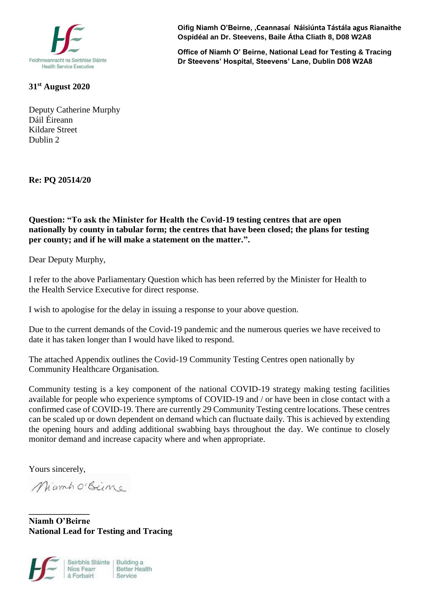

**31st August 2020**

Deputy Catherine Murphy Dáil Éireann Kildare Street Dublin 2

**Re: PQ 20514/20**

**Question: "To ask the Minister for Health the Covid-19 testing centres that are open nationally by county in tabular form; the centres that have been closed; the plans for testing per county; and if he will make a statement on the matter.".**

Dear Deputy Murphy,

I refer to the above Parliamentary Question which has been referred by the Minister for Health to the Health Service Executive for direct response.

I wish to apologise for the delay in issuing a response to your above question.

Due to the current demands of the Covid-19 pandemic and the numerous queries we have received to date it has taken longer than I would have liked to respond.

The attached Appendix outlines the Covid-19 Community Testing Centres open nationally by Community Healthcare Organisation.

Community testing is a key component of the national COVID-19 strategy making testing facilities available for people who experience symptoms of COVID-19 and / or have been in close contact with a confirmed case of COVID-19. There are currently 29 Community Testing centre locations. These centres can be scaled up or down dependent on demand which can fluctuate daily. This is achieved by extending the opening hours and adding additional swabbing bays throughout the day. We continue to closely monitor demand and increase capacity where and when appropriate.

Yours sincerely,

**\_\_\_\_\_\_\_\_\_\_\_\_\_\_**

Miamhorseine

**Niamh O'Beirne National Lead for Testing and Tracing**



**Oifig Niamh O'Beirne, ,Ceannasaí Náisiúnta Tástála agus Rianaithe Ospidéal an Dr. Steevens, Baile Átha Cliath 8, D08 W2A8**

**Office of Niamh O' Beirne, National Lead for Testing & Tracing Dr Steevens' Hospital, Steevens' Lane, Dublin D08 W2A8**